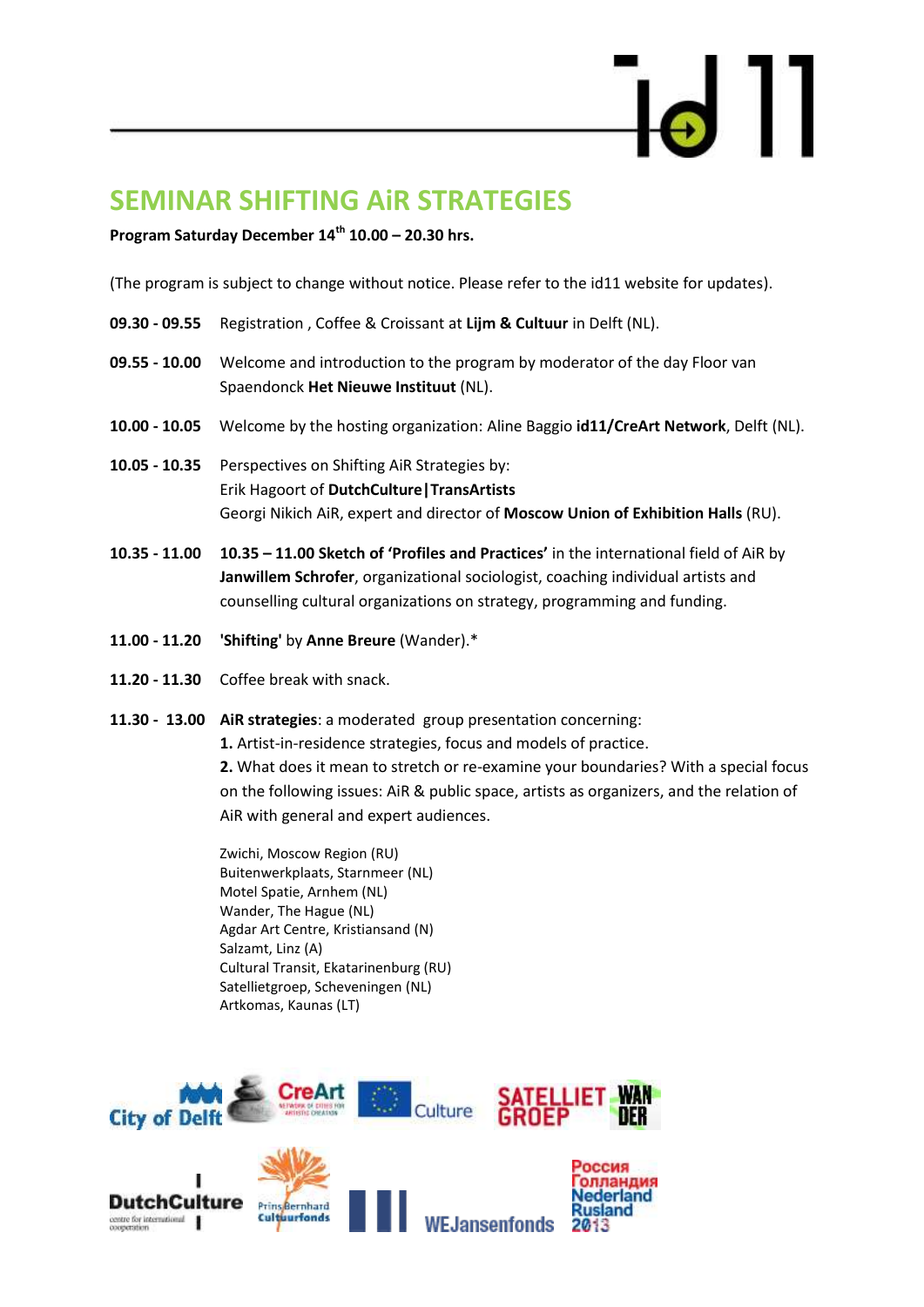# **SEMINAR SHIFTING AiR STRATEGIES**

**Program Saturday December 14th 10.00 – 20.30 hrs.**

(The program is subject to change without notice. Please refer to the id11 website for updates).

- **09.30 - 09.55** Registration , Coffee & Croissant at **[Lijm & Cultuur](http://www.lijmencultuur.com/)** in Delft (NL).
- **09.55 - 10.00** Welcome and introduction to the program by moderator of the day Floor van Spaendonck **[Het Nieuwe Instituut](http://www.hetnieuweinstituut.nl/en)** (NL).
- **10.00 - 10.05** Welcome by the hosting organization: Aline Baggio **[id11](http://www.id11.nl/)[/CreArt](http://www.creart-eu.org/) Network**, Delft (NL).
- **10.05 - 10.35** Perspectives on Shifting AiR Strategies by: Erik Hagoort of **[DutchCulture|TransArtists](http://www.transartists.org/article/dutchculture-centre-international-cooperation)**  Georgi Nikich AiR, expert and director of **Moscow Union of Exhibition Halls** (RU).
- **10.35 - 11.00 10.35 – 11.00 Sketch of 'Profiles and Practices'** in the international field of AiR by **Janwillem Schrofer**, organizational sociologist, coaching individual artists and counselling cultural organizations on strategy, programming and funding.
- **11.00 - 11.20 'Shifting'** by **Anne Breure** (Wander).\*
- **11.20 - 11.30** Coffee break with snack.
- **11.30 13.00 AiR strategies**: a moderated group presentation concerning:

**1.** Artist-in-residence strategies, focus and models of practice.

**2.** What does it mean to stretch or re-examine your boundaries? With a special focus on the following issues: AiR & public space, artists as organizers, and the relation of AiR with general and expert audiences.

Zwichi, Moscow Region (RU) Buitenwerkplaats, Starnmeer (NL) Motel Spatie, Arnhem (NL) Wander, The Hague (NL) Agdar Art Centre, Kristiansand (N) Salzamt, Linz (A) Cultural Transit, Ekatarinenburg (RU) Satellietgroep, Scheveningen (NL) Artkomas, Kaunas (LT)

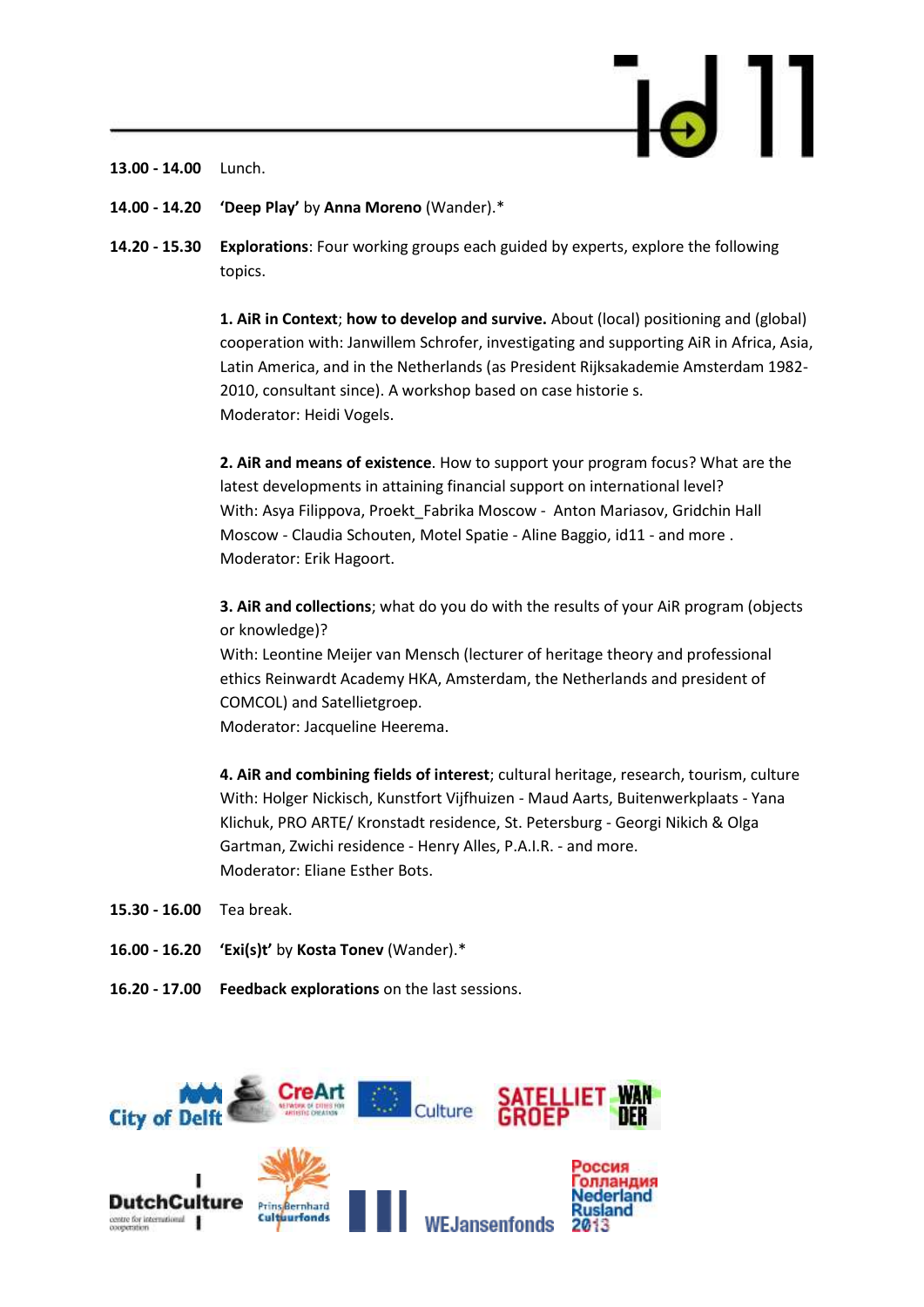**13.00 - 14.00** Lunch.

- **14.00 - 14.20 'Deep Play'** by **Anna Moreno** (Wander).\*
- **14.20 - 15.30 Explorations**: Four working groups each guided by experts, explore the following topics.

**1. AiR in Context**; **how to develop and survive.** About (local) positioning and (global) cooperation with: Janwillem Schrofer, investigating and supporting AiR in Africa, Asia, Latin America, and in the Netherlands (as President Rijksakademie Amsterdam 1982- 2010, consultant since). A workshop based on case historie s. Moderator: Heidi Vogels.

**2. AiR and means of existence**. How to support your program focus? What are the latest developments in attaining financial support on international level? With: Asya Filippova, [Proekt\\_Fabrika](http://newtest.proektfabrika.ru/) Moscow - Anton Mariasov, Gridchin Hall Moscow - Claudia Schouten, Motel Spatie - Aline Baggio, id11 - and more . Moderator: Erik Hagoort.

**3. AiR and collections**; what do you do with the results of your AiR program (objects or knowledge)? With: Leontine Meijer van Mensch (lecturer of heritage theory and professional

ethic[s Reinwardt Academy HKA,](http://www.ahk.nl/en/reinwardt/) Amsterdam, the Netherlands and president of [COMCOL\)](http://network.icom.museum/comcol) and Satellietgroep.

Moderator: Jacqueline Heerema.

**4. AiR and combining fields of interest**; cultural heritage, research, tourism, culture With: Holger Nickisch, Kunstfort Vijfhuizen - Maud Aarts, Buitenwerkplaats - Yana Klichuk, PRO ARTE/ Kronstadt residence, St. Petersburg - Georgi Nikich & Olga Gartman, Zwichi residence - Henry Alles, P.A.I.R. - and more. Moderator: Eliane Esther Bots.

- **15.30 - 16.00** Tea break.
- **16.00 - 16.20 'Exi(s)t'** by **Kosta Tonev** (Wander).\*
- **16.20 - 17.00 Feedback explorations** on the last sessions.